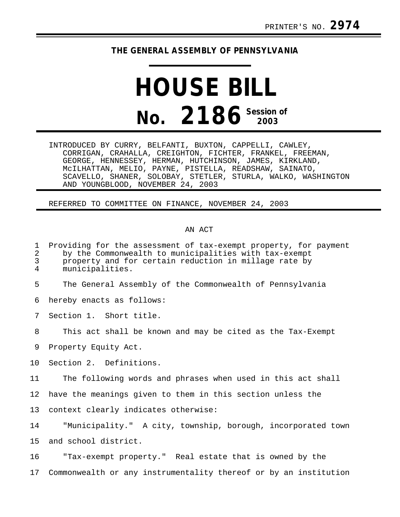## **THE GENERAL ASSEMBLY OF PENNSYLVANIA**

## **HOUSE BILL No. 2186 Session of**

INTRODUCED BY CURRY, BELFANTI, BUXTON, CAPPELLI, CAWLEY, CORRIGAN, CRAHALLA, CREIGHTON, FICHTER, FRANKEL, FREEMAN, GEORGE, HENNESSEY, HERMAN, HUTCHINSON, JAMES, KIRKLAND, McILHATTAN, MELIO, PAYNE, PISTELLA, READSHAW, SAINATO, SCAVELLO, SHANER, SOLOBAY, STETLER, STURLA, WALKO, WASHINGTON AND YOUNGBLOOD, NOVEMBER 24, 2003

REFERRED TO COMMITTEE ON FINANCE, NOVEMBER 24, 2003

## AN ACT

|  | 1 Providing for the assessment of tax-exempt property, for payment |  |  |  |
|--|--------------------------------------------------------------------|--|--|--|
|  | the the Commentee lib to musicinalities with the excount           |  |  |  |

2 by the Commonwealth to municipalities with tax-exempt 3 property and for certain reduction in millage rate by<br>4 municipalities.

municipalities.

5 The General Assembly of the Commonwealth of Pennsylvania

6 hereby enacts as follows:

7 Section 1. Short title.

8 This act shall be known and may be cited as the Tax-Exempt

9 Property Equity Act.

10 Section 2. Definitions.

11 The following words and phrases when used in this act shall

12 have the meanings given to them in this section unless the

13 context clearly indicates otherwise:

14 "Municipality." A city, township, borough, incorporated town 15 and school district.

16 "Tax-exempt property." Real estate that is owned by the 17 Commonwealth or any instrumentality thereof or by an institution